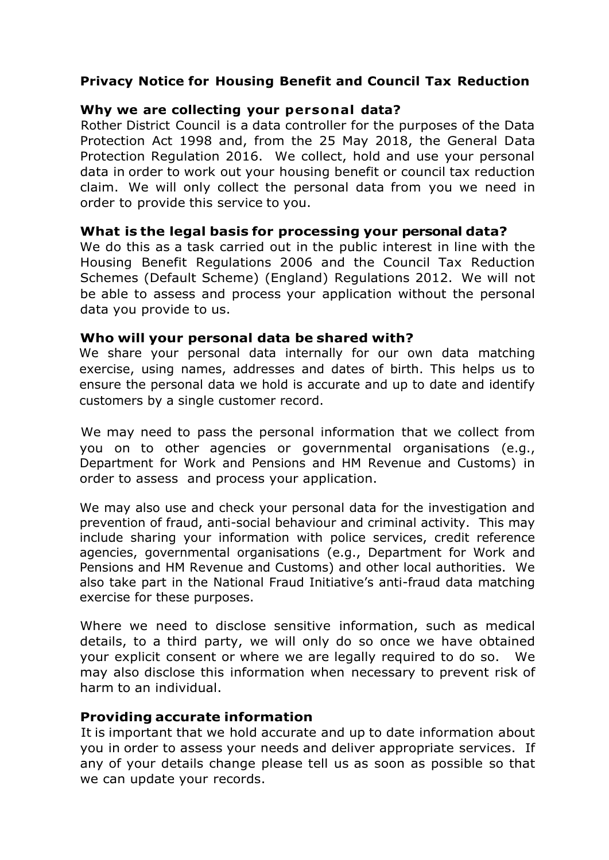## **Privacy Notice for Housing Benefit and Council Tax Reduction**

### **Why we are collecting your personal data?**

Rother District Council is a data controller for the purposes of the Data Protection Act 1998 and, from the 25 May 2018, the General Data Protection Regulation 2016. We collect, hold and use your personal data in order to work out your housing benefit or council tax reduction claim. We will only collect the personal data from you we need in order to provide this service to you.

### **What is the legal basis for processing your personal data?**

We do this as a task carried out in the public interest in line with the Housing Benefit Regulations 2006 and the Council Tax Reduction Schemes (Default Scheme) (England) Regulations 2012. We will not be able to assess and process your application without the personal data you provide to us.

#### **Who will your personal data be shared with?**

We share your personal data internally for our own data matching exercise, using names, addresses and dates of birth. This helps us to ensure the personal data we hold is accurate and up to date and identify customers by a single customer record.

We may need to pass the personal information that we collect from you on to other agencies or governmental organisations (e.g., Department for Work and Pensions and HM Revenue and Customs) in order to assess and process your application.

We may also use and check your personal data for the investigation and prevention of fraud, anti-social behaviour and criminal activity. This may include sharing your information with police services, credit reference agencies, governmental organisations (e.g., Department for Work and Pensions and HM Revenue and Customs) and other local authorities. We also take part in the National Fraud Initiative's anti-fraud data matching exercise for these purposes.

Where we need to disclose sensitive information, such as medical details, to a third party, we will only do so once we have obtained your explicit consent or where we are legally required to do so. We may also disclose this information when necessary to prevent risk of harm to an individual.

#### **Providing accurate information**

It is important that we hold accurate and up to date information about you in order to assess your needs and deliver appropriate services. If any of your details change please tell us as soon as possible so that we can update your records.